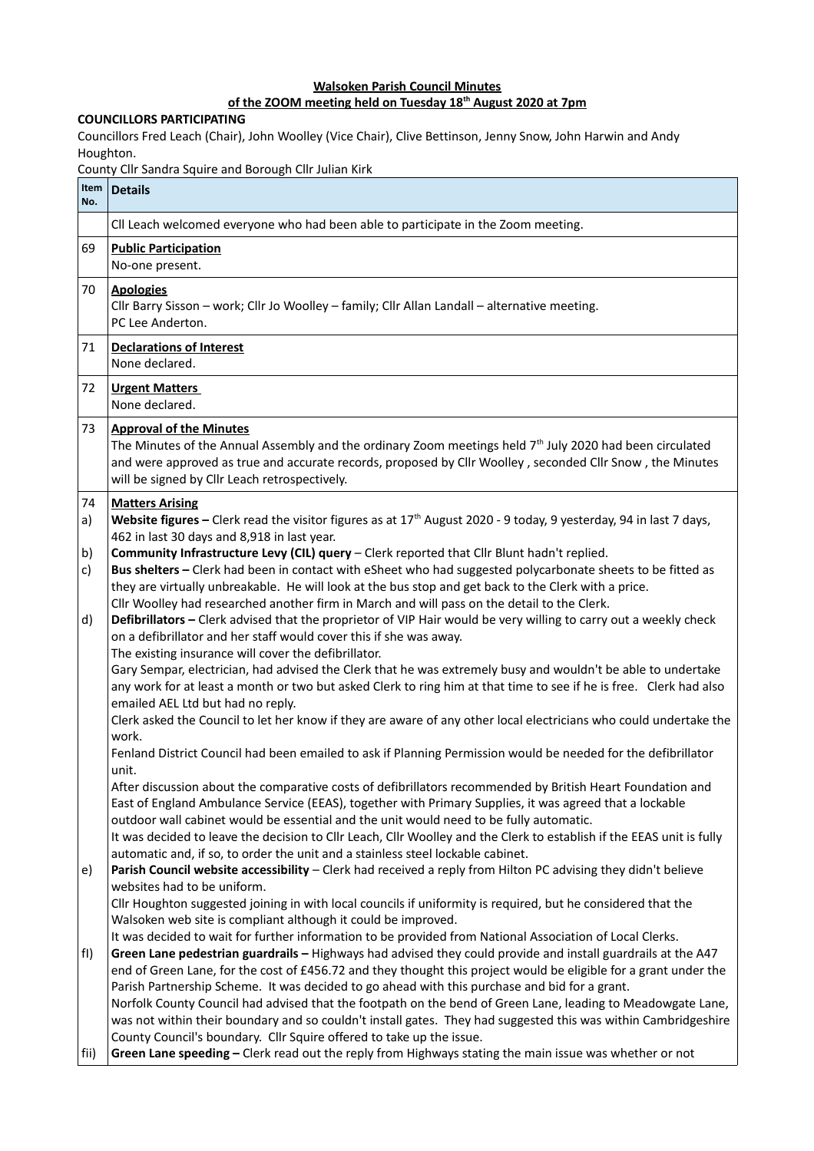## **Walsoken Parish Council Minutes**

## **of the ZOOM meeting held on Tuesday 18th August 2020 at 7pm**

## **COUNCILLORS PARTICIPATING**

Councillors Fred Leach (Chair), John Woolley (Vice Chair), Clive Bettinson, Jenny Snow, John Harwin and Andy Houghton.

County Cllr Sandra Squire and Borough Cllr Julian Kirk

| No.      | Item Details                                                                                                                                                                                                                                                                                                                                                                                                     |
|----------|------------------------------------------------------------------------------------------------------------------------------------------------------------------------------------------------------------------------------------------------------------------------------------------------------------------------------------------------------------------------------------------------------------------|
|          | CII Leach welcomed everyone who had been able to participate in the Zoom meeting.                                                                                                                                                                                                                                                                                                                                |
| 69       | <b>Public Participation</b><br>No-one present.                                                                                                                                                                                                                                                                                                                                                                   |
| 70       | <b>Apologies</b><br>Cllr Barry Sisson - work; Cllr Jo Woolley - family; Cllr Allan Landall - alternative meeting.<br>PC Lee Anderton.                                                                                                                                                                                                                                                                            |
| 71       | <b>Declarations of Interest</b><br>None declared.                                                                                                                                                                                                                                                                                                                                                                |
| 72       | <b>Urgent Matters</b><br>None declared.                                                                                                                                                                                                                                                                                                                                                                          |
| 73       | <b>Approval of the Minutes</b><br>The Minutes of the Annual Assembly and the ordinary Zoom meetings held 7 <sup>th</sup> July 2020 had been circulated<br>and were approved as true and accurate records, proposed by Cllr Woolley, seconded Cllr Snow, the Minutes<br>will be signed by Cllr Leach retrospectively.                                                                                             |
| 74<br>a) | <b>Matters Arising</b><br>Website figures - Clerk read the visitor figures as at 17 <sup>th</sup> August 2020 - 9 today, 9 yesterday, 94 in last 7 days,<br>462 in last 30 days and 8,918 in last year.                                                                                                                                                                                                          |
| b)<br>c) | Community Infrastructure Levy (CIL) query - Clerk reported that Cllr Blunt hadn't replied.<br>Bus shelters - Clerk had been in contact with eSheet who had suggested polycarbonate sheets to be fitted as<br>they are virtually unbreakable. He will look at the bus stop and get back to the Clerk with a price.<br>Cllr Woolley had researched another firm in March and will pass on the detail to the Clerk. |
| d)       | Defibrillators - Clerk advised that the proprietor of VIP Hair would be very willing to carry out a weekly check<br>on a defibrillator and her staff would cover this if she was away.<br>The existing insurance will cover the defibrillator.                                                                                                                                                                   |
|          | Gary Sempar, electrician, had advised the Clerk that he was extremely busy and wouldn't be able to undertake<br>any work for at least a month or two but asked Clerk to ring him at that time to see if he is free. Clerk had also<br>emailed AEL Ltd but had no reply.                                                                                                                                          |
|          | Clerk asked the Council to let her know if they are aware of any other local electricians who could undertake the<br>work.                                                                                                                                                                                                                                                                                       |
|          | Fenland District Council had been emailed to ask if Planning Permission would be needed for the defibrillator<br>unit.                                                                                                                                                                                                                                                                                           |
|          | After discussion about the comparative costs of defibrillators recommended by British Heart Foundation and<br>East of England Ambulance Service (EEAS), together with Primary Supplies, it was agreed that a lockable<br>outdoor wall cabinet would be essential and the unit would need to be fully automatic.                                                                                                  |
|          | It was decided to leave the decision to Cllr Leach, Cllr Woolley and the Clerk to establish if the EEAS unit is fully<br>automatic and, if so, to order the unit and a stainless steel lockable cabinet.                                                                                                                                                                                                         |
| e)       | Parish Council website accessibility - Clerk had received a reply from Hilton PC advising they didn't believe<br>websites had to be uniform.                                                                                                                                                                                                                                                                     |
|          | Cllr Houghton suggested joining in with local councils if uniformity is required, but he considered that the<br>Walsoken web site is compliant although it could be improved.                                                                                                                                                                                                                                    |
| f )      | It was decided to wait for further information to be provided from National Association of Local Clerks.<br>Green Lane pedestrian guardrails - Highways had advised they could provide and install guardrails at the A47<br>end of Green Lane, for the cost of £456.72 and they thought this project would be eligible for a grant under the                                                                     |
|          | Parish Partnership Scheme. It was decided to go ahead with this purchase and bid for a grant.                                                                                                                                                                                                                                                                                                                    |
|          | Norfolk County Council had advised that the footpath on the bend of Green Lane, leading to Meadowgate Lane,<br>was not within their boundary and so couldn't install gates. They had suggested this was within Cambridgeshire                                                                                                                                                                                    |
| fii)     | County Council's boundary. Cllr Squire offered to take up the issue.<br>Green Lane speeding - Clerk read out the reply from Highways stating the main issue was whether or not                                                                                                                                                                                                                                   |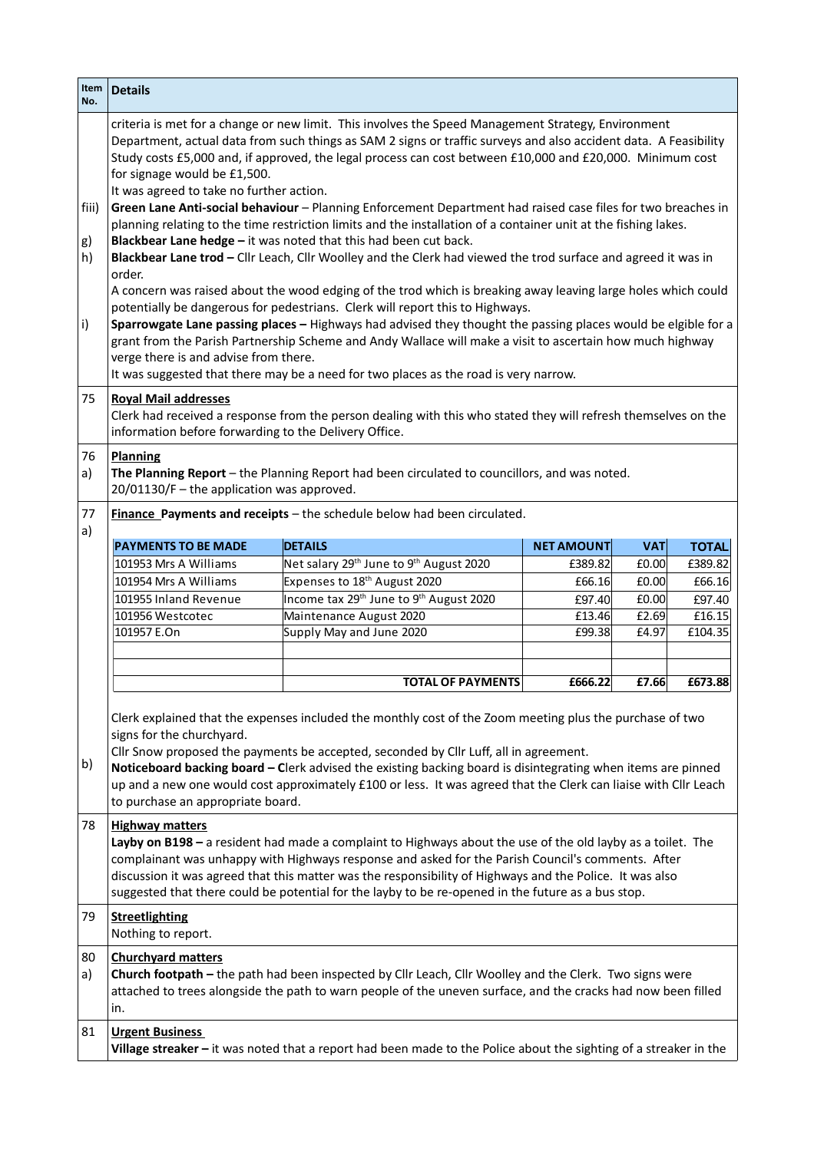| Item<br>No.                                                                         | <b>Details</b>                                                                                                                                                                                                                                                                                                                                                                                                                                                                                                                                                                                                                                                                                                                                                                                                                                                                                                                                                                                                                                                                                                                                                                                                                                                                                                                                                                                                      |                                                                 |                   |            |              |  |
|-------------------------------------------------------------------------------------|---------------------------------------------------------------------------------------------------------------------------------------------------------------------------------------------------------------------------------------------------------------------------------------------------------------------------------------------------------------------------------------------------------------------------------------------------------------------------------------------------------------------------------------------------------------------------------------------------------------------------------------------------------------------------------------------------------------------------------------------------------------------------------------------------------------------------------------------------------------------------------------------------------------------------------------------------------------------------------------------------------------------------------------------------------------------------------------------------------------------------------------------------------------------------------------------------------------------------------------------------------------------------------------------------------------------------------------------------------------------------------------------------------------------|-----------------------------------------------------------------|-------------------|------------|--------------|--|
| fiii)<br>g)<br>h)<br>i)                                                             | criteria is met for a change or new limit. This involves the Speed Management Strategy, Environment<br>Department, actual data from such things as SAM 2 signs or traffic surveys and also accident data. A Feasibility<br>Study costs £5,000 and, if approved, the legal process can cost between £10,000 and £20,000. Minimum cost<br>for signage would be £1,500.<br>It was agreed to take no further action.<br>Green Lane Anti-social behaviour - Planning Enforcement Department had raised case files for two breaches in<br>planning relating to the time restriction limits and the installation of a container unit at the fishing lakes.<br>Blackbear Lane hedge - it was noted that this had been cut back.<br>Blackbear Lane trod - Cllr Leach, Cllr Woolley and the Clerk had viewed the trod surface and agreed it was in<br>order.<br>A concern was raised about the wood edging of the trod which is breaking away leaving large holes which could<br>potentially be dangerous for pedestrians. Clerk will report this to Highways.<br>Sparrowgate Lane passing places - Highways had advised they thought the passing places would be elgible for a<br>grant from the Parish Partnership Scheme and Andy Wallace will make a visit to ascertain how much highway<br>verge there is and advise from there.<br>It was suggested that there may be a need for two places as the road is very narrow. |                                                                 |                   |            |              |  |
| 75                                                                                  | <b>Royal Mail addresses</b><br>Clerk had received a response from the person dealing with this who stated they will refresh themselves on the<br>information before forwarding to the Delivery Office.                                                                                                                                                                                                                                                                                                                                                                                                                                                                                                                                                                                                                                                                                                                                                                                                                                                                                                                                                                                                                                                                                                                                                                                                              |                                                                 |                   |            |              |  |
| 76<br>a)                                                                            | <b>Planning</b><br>The Planning Report - the Planning Report had been circulated to councillors, and was noted.<br>$20/01130/F$ – the application was approved.                                                                                                                                                                                                                                                                                                                                                                                                                                                                                                                                                                                                                                                                                                                                                                                                                                                                                                                                                                                                                                                                                                                                                                                                                                                     |                                                                 |                   |            |              |  |
| 77<br>Finance Payments and receipts - the schedule below had been circulated.<br>a) |                                                                                                                                                                                                                                                                                                                                                                                                                                                                                                                                                                                                                                                                                                                                                                                                                                                                                                                                                                                                                                                                                                                                                                                                                                                                                                                                                                                                                     |                                                                 |                   |            |              |  |
|                                                                                     | <b>PAYMENTS TO BE MADE</b>                                                                                                                                                                                                                                                                                                                                                                                                                                                                                                                                                                                                                                                                                                                                                                                                                                                                                                                                                                                                                                                                                                                                                                                                                                                                                                                                                                                          | <b>DETAILS</b>                                                  | <b>NET AMOUNT</b> | <b>VAT</b> | <b>TOTAL</b> |  |
|                                                                                     | 101953 Mrs A Williams                                                                                                                                                                                                                                                                                                                                                                                                                                                                                                                                                                                                                                                                                                                                                                                                                                                                                                                                                                                                                                                                                                                                                                                                                                                                                                                                                                                               | Net salary 29 <sup>th</sup> June to 9 <sup>th</sup> August 2020 | £389.82           | £0.00      | £389.82      |  |
|                                                                                     | 101954 Mrs A Williams                                                                                                                                                                                                                                                                                                                                                                                                                                                                                                                                                                                                                                                                                                                                                                                                                                                                                                                                                                                                                                                                                                                                                                                                                                                                                                                                                                                               | Expenses to 18 <sup>th</sup> August 2020                        | £66.16            | £0.00      | £66.16       |  |
|                                                                                     | 101955 Inland Revenue                                                                                                                                                                                                                                                                                                                                                                                                                                                                                                                                                                                                                                                                                                                                                                                                                                                                                                                                                                                                                                                                                                                                                                                                                                                                                                                                                                                               | Income tax 29th June to 9th August 2020                         | £97.40            | £0.00      | £97.40       |  |
|                                                                                     | 101956 Westcotec                                                                                                                                                                                                                                                                                                                                                                                                                                                                                                                                                                                                                                                                                                                                                                                                                                                                                                                                                                                                                                                                                                                                                                                                                                                                                                                                                                                                    | Maintenance August 2020                                         | £13.46            | £2.69      | £16.15       |  |
|                                                                                     | 101957 E.On                                                                                                                                                                                                                                                                                                                                                                                                                                                                                                                                                                                                                                                                                                                                                                                                                                                                                                                                                                                                                                                                                                                                                                                                                                                                                                                                                                                                         | Supply May and June 2020                                        | £99.38            | £4.97      | £104.35      |  |
|                                                                                     |                                                                                                                                                                                                                                                                                                                                                                                                                                                                                                                                                                                                                                                                                                                                                                                                                                                                                                                                                                                                                                                                                                                                                                                                                                                                                                                                                                                                                     |                                                                 |                   |            |              |  |
|                                                                                     |                                                                                                                                                                                                                                                                                                                                                                                                                                                                                                                                                                                                                                                                                                                                                                                                                                                                                                                                                                                                                                                                                                                                                                                                                                                                                                                                                                                                                     | <b>TOTAL OF PAYMENTS</b>                                        | £666.22           | £7.66      | £673.88      |  |
| b)                                                                                  | Clerk explained that the expenses included the monthly cost of the Zoom meeting plus the purchase of two<br>signs for the churchyard.<br>Cllr Snow proposed the payments be accepted, seconded by Cllr Luff, all in agreement.<br>Noticeboard backing board - Clerk advised the existing backing board is disintegrating when items are pinned<br>up and a new one would cost approximately £100 or less. It was agreed that the Clerk can liaise with Cllr Leach<br>to purchase an appropriate board.                                                                                                                                                                                                                                                                                                                                                                                                                                                                                                                                                                                                                                                                                                                                                                                                                                                                                                              |                                                                 |                   |            |              |  |
| 78                                                                                  | <b>Highway matters</b><br>Layby on B198 - a resident had made a complaint to Highways about the use of the old layby as a toilet. The<br>complainant was unhappy with Highways response and asked for the Parish Council's comments. After<br>discussion it was agreed that this matter was the responsibility of Highways and the Police. It was also<br>suggested that there could be potential for the layby to be re-opened in the future as a bus stop.                                                                                                                                                                                                                                                                                                                                                                                                                                                                                                                                                                                                                                                                                                                                                                                                                                                                                                                                                        |                                                                 |                   |            |              |  |
| 79                                                                                  | <b>Streetlighting</b><br>Nothing to report.                                                                                                                                                                                                                                                                                                                                                                                                                                                                                                                                                                                                                                                                                                                                                                                                                                                                                                                                                                                                                                                                                                                                                                                                                                                                                                                                                                         |                                                                 |                   |            |              |  |
| 80<br>a)                                                                            | <b>Churchyard matters</b><br>Church footpath - the path had been inspected by Cllr Leach, Cllr Woolley and the Clerk. Two signs were<br>attached to trees alongside the path to warn people of the uneven surface, and the cracks had now been filled<br>in.                                                                                                                                                                                                                                                                                                                                                                                                                                                                                                                                                                                                                                                                                                                                                                                                                                                                                                                                                                                                                                                                                                                                                        |                                                                 |                   |            |              |  |
|                                                                                     |                                                                                                                                                                                                                                                                                                                                                                                                                                                                                                                                                                                                                                                                                                                                                                                                                                                                                                                                                                                                                                                                                                                                                                                                                                                                                                                                                                                                                     |                                                                 |                   |            |              |  |